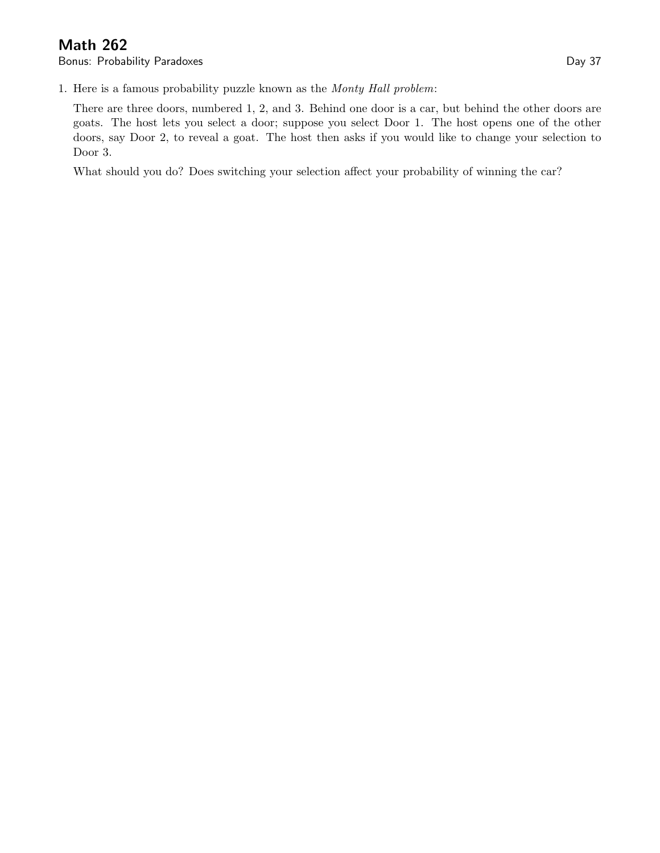## Math 262

Bonus: Probability Paradoxes **Day 37** 

1. Here is a famous probability puzzle known as the Monty Hall problem:

There are three doors, numbered 1, 2, and 3. Behind one door is a car, but behind the other doors are goats. The host lets you select a door; suppose you select Door 1. The host opens one of the other doors, say Door 2, to reveal a goat. The host then asks if you would like to change your selection to Door 3.

What should you do? Does switching your selection affect your probability of winning the car?